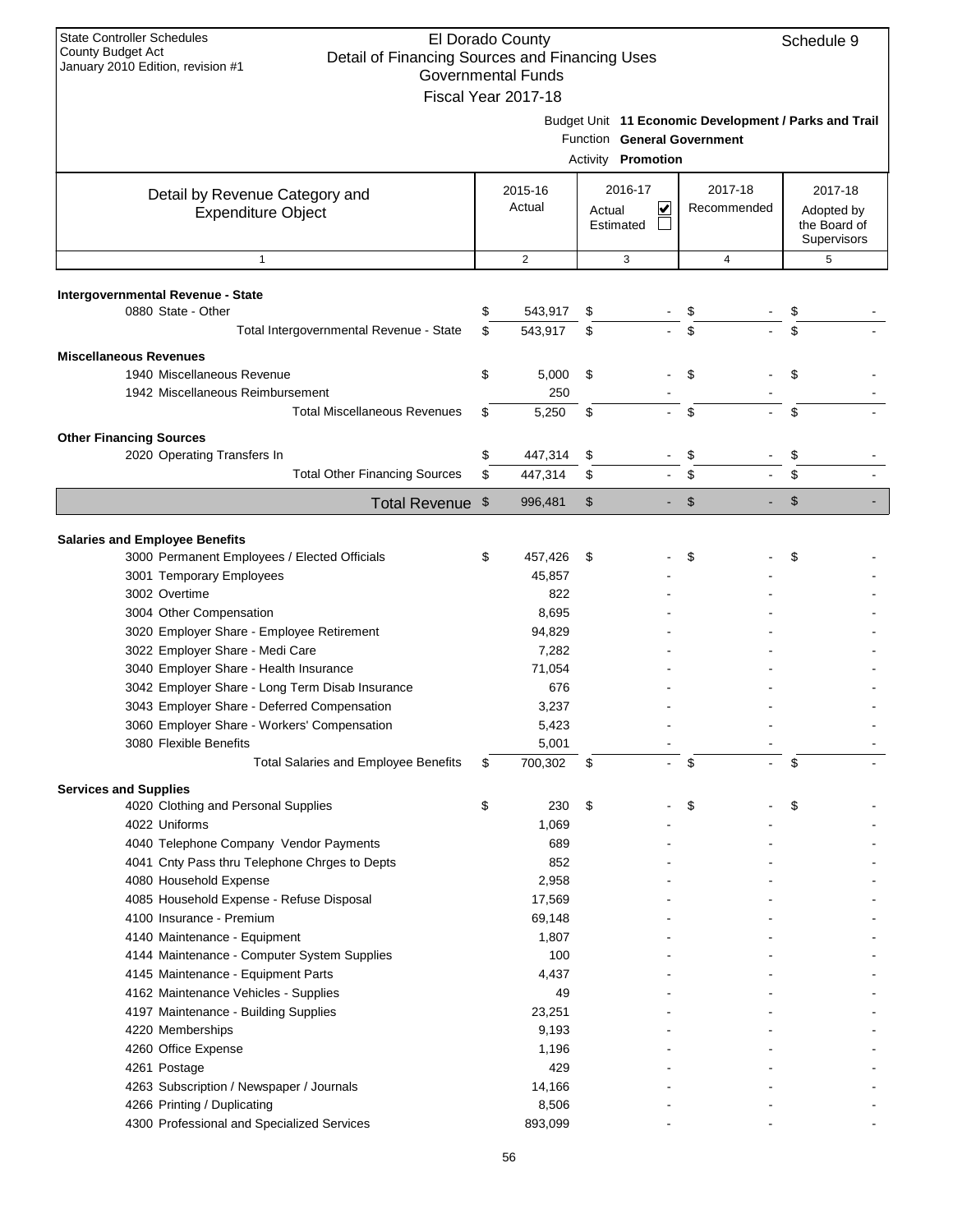| <b>State Controller Schedules</b><br><b>County Budget Act</b><br>Detail of Financing Sources and Financing Uses<br>January 2010 Edition, revision #1 | El Dorado County<br><b>Governmental Funds</b> |        |                           |                             | Schedule 9                                            |
|------------------------------------------------------------------------------------------------------------------------------------------------------|-----------------------------------------------|--------|---------------------------|-----------------------------|-------------------------------------------------------|
|                                                                                                                                                      | Fiscal Year 2017-18                           |        | Activity Promotion        | Function General Government | Budget Unit 11 Economic Development / Parks and Trail |
| Detail by Revenue Category and<br><b>Expenditure Object</b>                                                                                          | 2015-16<br>Actual                             | Actual | 2016-17<br>V<br>Estimated | 2017-18<br>Recommended      | 2017-18<br>Adopted by<br>the Board of<br>Supervisors  |
| $\mathbf{1}$                                                                                                                                         | $\mathbf{2}$                                  |        | 3                         | $\overline{4}$              | 5                                                     |
|                                                                                                                                                      |                                               |        |                           |                             |                                                       |
| Intergovernmental Revenue - State<br>0880 State - Other                                                                                              | \$<br>543,917                                 | \$     |                           | \$                          |                                                       |
| Total Intergovernmental Revenue - State                                                                                                              | \$<br>543,917                                 | \$     |                           | \$                          |                                                       |
|                                                                                                                                                      |                                               |        |                           |                             |                                                       |
| <b>Miscellaneous Revenues</b>                                                                                                                        |                                               |        |                           |                             |                                                       |
| 1940 Miscellaneous Revenue                                                                                                                           | \$<br>5,000                                   | \$     |                           | \$                          | \$                                                    |
| 1942 Miscellaneous Reimbursement                                                                                                                     | 250                                           |        |                           |                             |                                                       |
| <b>Total Miscellaneous Revenues</b>                                                                                                                  | \$<br>5,250                                   | \$     |                           | \$                          | \$                                                    |
| <b>Other Financing Sources</b>                                                                                                                       |                                               |        |                           |                             |                                                       |
| 2020 Operating Transfers In                                                                                                                          | \$<br>447,314                                 | \$     |                           | \$                          | \$                                                    |
| <b>Total Other Financing Sources</b>                                                                                                                 | \$<br>447,314                                 | \$     |                           | \$                          |                                                       |
| Total Revenue \$                                                                                                                                     | 996,481                                       | \$     | $\blacksquare$            | $\mathfrak{S}$              | $\mathsf{\$}$                                         |
|                                                                                                                                                      |                                               |        |                           |                             |                                                       |
| <b>Salaries and Employee Benefits</b>                                                                                                                |                                               |        |                           |                             |                                                       |
| 3000 Permanent Employees / Elected Officials                                                                                                         | \$<br>457,426                                 | \$     |                           | \$                          | \$                                                    |
| 3001 Temporary Employees                                                                                                                             | 45,857                                        |        |                           |                             |                                                       |
| 3002 Overtime<br>3004 Other Compensation                                                                                                             | 822                                           |        |                           |                             |                                                       |
| 3020 Employer Share - Employee Retirement                                                                                                            | 8,695<br>94,829                               |        |                           |                             |                                                       |
| 3022 Employer Share - Medi Care                                                                                                                      | 7,282                                         |        |                           |                             |                                                       |
| 3040 Employer Share - Health Insurance                                                                                                               | 71,054                                        |        |                           |                             |                                                       |
| 3042 Employer Share - Long Term Disab Insurance                                                                                                      | 676                                           |        |                           |                             |                                                       |
| 3043 Employer Share - Deferred Compensation                                                                                                          | 3,237                                         |        |                           |                             |                                                       |
| 3060 Employer Share - Workers' Compensation                                                                                                          | 5,423                                         |        |                           |                             |                                                       |
| 3080 Flexible Benefits                                                                                                                               | 5,001                                         |        |                           |                             |                                                       |
| <b>Total Salaries and Employee Benefits</b>                                                                                                          | \$<br>700,302                                 | \$     | ä,                        | \$                          | \$                                                    |
|                                                                                                                                                      |                                               |        |                           |                             |                                                       |
| <b>Services and Supplies</b>                                                                                                                         | \$                                            |        |                           | \$                          | \$                                                    |
| 4020 Clothing and Personal Supplies<br>4022 Uniforms                                                                                                 | 230<br>1,069                                  | \$     |                           |                             |                                                       |
| 4040 Telephone Company Vendor Payments                                                                                                               | 689                                           |        |                           |                             |                                                       |
| 4041 Cnty Pass thru Telephone Chrges to Depts                                                                                                        | 852                                           |        |                           |                             |                                                       |
| 4080 Household Expense                                                                                                                               | 2,958                                         |        |                           |                             |                                                       |
| 4085 Household Expense - Refuse Disposal                                                                                                             | 17,569                                        |        |                           |                             |                                                       |
| 4100 Insurance - Premium                                                                                                                             | 69,148                                        |        |                           |                             |                                                       |
| 4140 Maintenance - Equipment                                                                                                                         | 1,807                                         |        |                           |                             |                                                       |
| 4144 Maintenance - Computer System Supplies                                                                                                          | 100                                           |        |                           |                             |                                                       |
| 4145 Maintenance - Equipment Parts                                                                                                                   | 4,437                                         |        |                           |                             |                                                       |
| 4162 Maintenance Vehicles - Supplies                                                                                                                 | 49                                            |        |                           |                             |                                                       |
| 4197 Maintenance - Building Supplies                                                                                                                 | 23,251                                        |        |                           |                             |                                                       |
| 4220 Memberships                                                                                                                                     | 9,193                                         |        |                           |                             |                                                       |
| 4260 Office Expense                                                                                                                                  | 1,196                                         |        |                           |                             |                                                       |
| 4261 Postage                                                                                                                                         | 429                                           |        |                           |                             |                                                       |
| 4263 Subscription / Newspaper / Journals                                                                                                             | 14,166                                        |        |                           |                             |                                                       |
| 4266 Printing / Duplicating                                                                                                                          | 8,506                                         |        |                           |                             |                                                       |
| 4300 Professional and Specialized Services                                                                                                           | 893,099                                       |        |                           |                             |                                                       |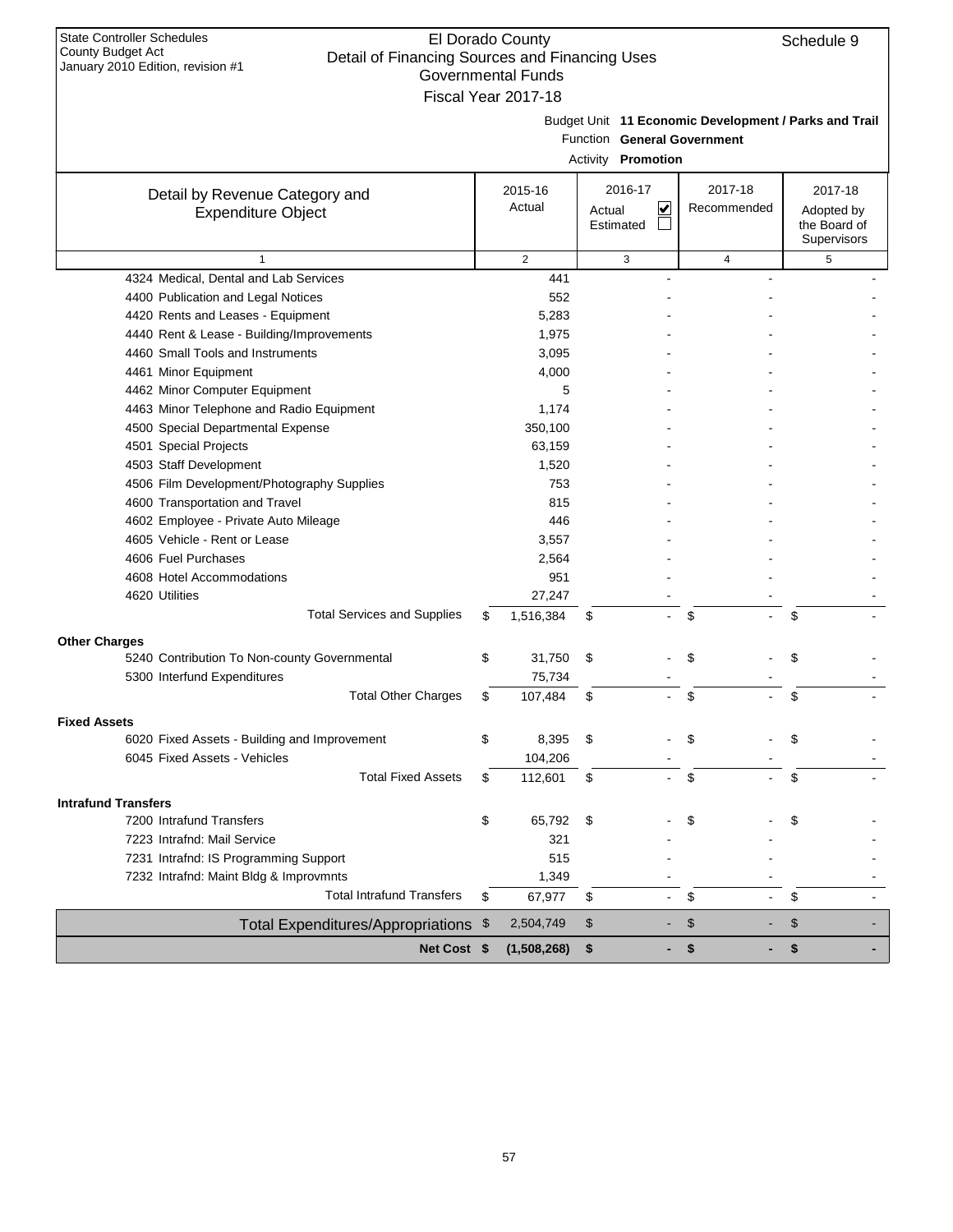| <b>State Controller Schedules</b><br>County Budget Act                              |     | El Dorado County          |                                                       |                | Schedule 9                 |
|-------------------------------------------------------------------------------------|-----|---------------------------|-------------------------------------------------------|----------------|----------------------------|
| Detail of Financing Sources and Financing Uses<br>January 2010 Edition, revision #1 |     |                           |                                                       |                |                            |
|                                                                                     |     | <b>Governmental Funds</b> |                                                       |                |                            |
|                                                                                     |     | Fiscal Year 2017-18       |                                                       |                |                            |
|                                                                                     |     |                           | Budget Unit 11 Economic Development / Parks and Trail |                |                            |
|                                                                                     |     |                           | Function General Government                           |                |                            |
|                                                                                     |     |                           | Activity <b>Promotion</b>                             |                |                            |
|                                                                                     |     |                           |                                                       |                |                            |
| Detail by Revenue Category and                                                      |     | 2015-16                   | 2016-17                                               | 2017-18        | 2017-18                    |
| <b>Expenditure Object</b>                                                           |     | Actual                    | ⊻<br>Actual<br>Estimated                              | Recommended    | Adopted by<br>the Board of |
|                                                                                     |     |                           |                                                       |                | <b>Supervisors</b>         |
| $\mathbf{1}$                                                                        |     | $\overline{2}$            | 3                                                     | 4              | 5                          |
| 4324 Medical, Dental and Lab Services                                               |     | 441                       |                                                       |                |                            |
| 4400 Publication and Legal Notices                                                  |     | 552                       |                                                       |                |                            |
| 4420 Rents and Leases - Equipment                                                   |     | 5,283                     |                                                       |                |                            |
| 4440 Rent & Lease - Building/Improvements                                           |     | 1,975                     |                                                       |                |                            |
| 4460 Small Tools and Instruments                                                    |     | 3,095                     |                                                       |                |                            |
| 4461 Minor Equipment                                                                |     | 4,000                     |                                                       |                |                            |
| 4462 Minor Computer Equipment                                                       |     | 5                         |                                                       |                |                            |
| 4463 Minor Telephone and Radio Equipment                                            |     | 1,174                     |                                                       |                |                            |
| 4500 Special Departmental Expense                                                   |     | 350,100                   |                                                       |                |                            |
| 4501 Special Projects                                                               |     | 63,159                    |                                                       |                |                            |
| 4503 Staff Development                                                              |     | 1,520                     |                                                       |                |                            |
| 4506 Film Development/Photography Supplies                                          |     | 753                       |                                                       |                |                            |
| 4600 Transportation and Travel                                                      |     | 815                       |                                                       |                |                            |
| 4602 Employee - Private Auto Mileage                                                |     | 446                       |                                                       |                |                            |
| 4605 Vehicle - Rent or Lease                                                        |     | 3,557                     |                                                       |                |                            |
| 4606 Fuel Purchases                                                                 |     | 2,564                     |                                                       |                |                            |
| 4608 Hotel Accommodations                                                           |     | 951                       |                                                       |                |                            |
| 4620 Utilities                                                                      |     | 27,247                    |                                                       |                |                            |
| <b>Total Services and Supplies</b>                                                  | \$  | 1,516,384                 | \$                                                    | \$             | \$                         |
|                                                                                     |     |                           |                                                       |                |                            |
| <b>Other Charges</b><br>5240 Contribution To Non-county Governmental                | \$  | 31,750                    | \$                                                    | \$             | \$                         |
| 5300 Interfund Expenditures                                                         |     | 75,734                    |                                                       |                |                            |
| <b>Total Other Charges</b>                                                          | \$. | 107,484                   | \$                                                    | \$             | \$                         |
|                                                                                     |     |                           |                                                       |                |                            |
| <b>Fixed Assets</b>                                                                 |     |                           |                                                       |                |                            |
| 6020 Fixed Assets - Building and Improvement                                        | \$  | 8,395                     | \$                                                    | \$             | S                          |
| 6045 Fixed Assets - Vehicles                                                        |     | 104,206                   |                                                       |                |                            |
| <b>Total Fixed Assets</b>                                                           | \$  | 112,601                   | \$                                                    | \$             | \$                         |
| <b>Intrafund Transfers</b>                                                          |     |                           |                                                       |                |                            |
| 7200 Intrafund Transfers                                                            | \$  | 65,792                    | \$                                                    | \$             | \$                         |
| 7223 Intrafnd: Mail Service                                                         |     | 321                       |                                                       |                |                            |
| 7231 Intrafnd: IS Programming Support                                               |     | 515                       |                                                       |                |                            |
| 7232 Intrafnd: Maint Bldg & Improvmnts                                              |     | 1,349                     |                                                       |                |                            |
| <b>Total Intrafund Transfers</b>                                                    | \$  | 67,977                    | \$<br>$\blacksquare$                                  | \$             | \$                         |
| Total Expenditures/Appropriations \$                                                |     | 2,504,749                 | \$                                                    | $\mathfrak{F}$ | \$                         |
| Net Cost \$                                                                         |     | (1,508,268)               | \$<br>٠                                               | \$             | \$<br>$\blacksquare$       |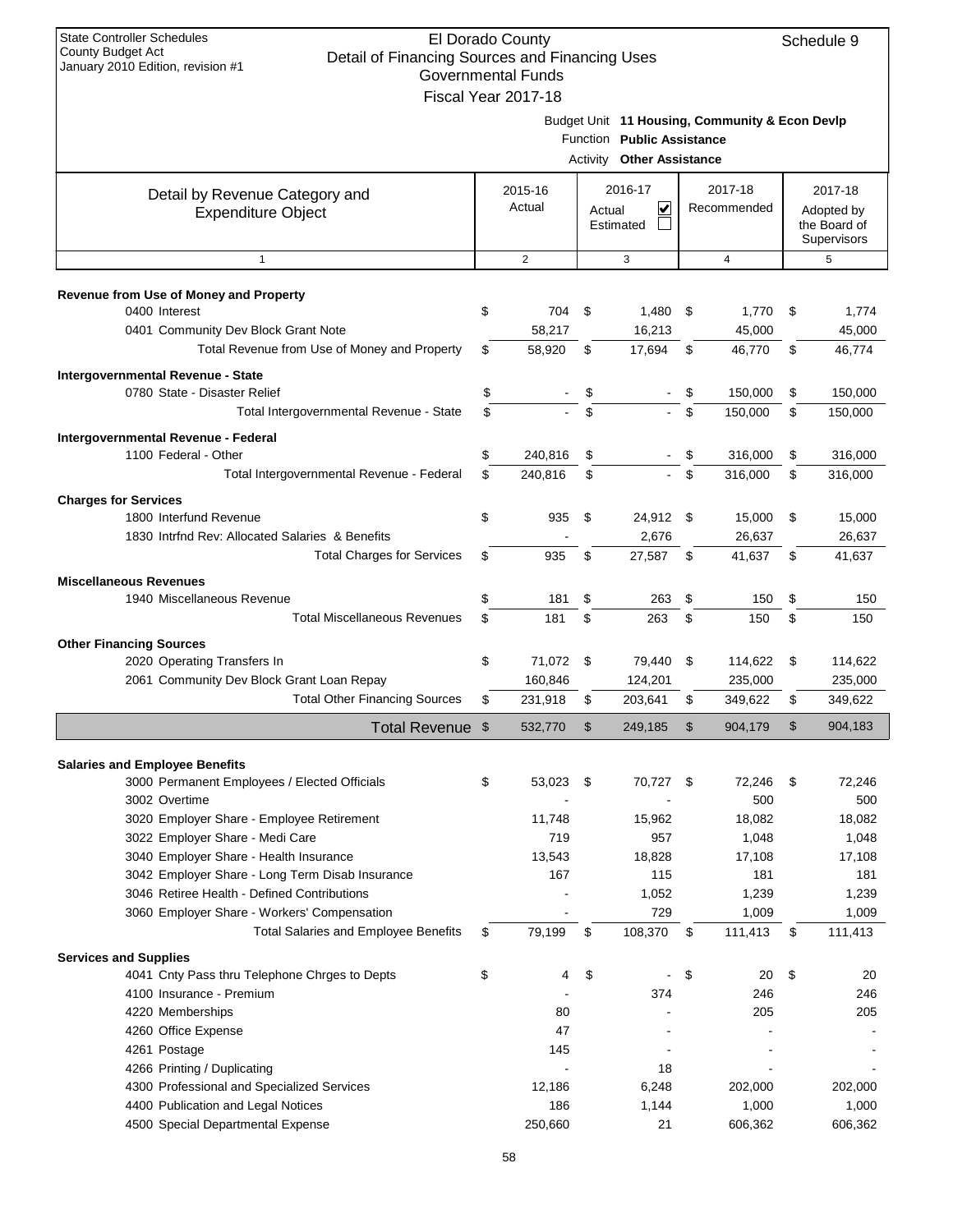| <b>State Controller Schedules</b><br><b>County Budget Act</b><br>Detail of Financing Sources and Financing Uses<br>January 2010 Edition, revision #1 |          | El Dorado County<br><b>Governmental Funds</b><br>Fiscal Year 2017-18 |          |                                                       |          |                                                |          | Schedule 9                                           |
|------------------------------------------------------------------------------------------------------------------------------------------------------|----------|----------------------------------------------------------------------|----------|-------------------------------------------------------|----------|------------------------------------------------|----------|------------------------------------------------------|
|                                                                                                                                                      |          |                                                                      | Activity | Function Public Assistance<br><b>Other Assistance</b> |          | Budget Unit 11 Housing, Community & Econ Devlp |          |                                                      |
| Detail by Revenue Category and<br><b>Expenditure Object</b>                                                                                          |          | 2015-16<br>Actual                                                    | Actual   | 2016-17<br>V<br>Estimated                             |          | 2017-18<br>Recommended                         |          | 2017-18<br>Adopted by<br>the Board of<br>Supervisors |
| $\mathbf{1}$                                                                                                                                         |          | $\mathbf{2}$                                                         |          | 3                                                     |          | 4                                              |          | 5                                                    |
| Revenue from Use of Money and Property                                                                                                               |          |                                                                      |          |                                                       |          |                                                |          |                                                      |
| 0400 Interest<br>0401 Community Dev Block Grant Note                                                                                                 | \$       | 704<br>58.217                                                        | \$       | 1,480<br>16,213                                       | -\$      | 1,770<br>45,000                                | \$       | 1,774<br>45,000                                      |
| Total Revenue from Use of Money and Property                                                                                                         | \$       | 58,920                                                               | \$       | 17,694                                                | \$       | 46,770                                         | \$       | 46,774                                               |
| Intergovernmental Revenue - State<br>0780 State - Disaster Relief                                                                                    | \$       |                                                                      | \$       |                                                       |          | 150,000                                        | \$       | 150,000                                              |
| Total Intergovernmental Revenue - State                                                                                                              | \$       |                                                                      | \$       |                                                       | \$       | 150,000                                        | \$       | 150,000                                              |
| Intergovernmental Revenue - Federal<br>1100 Federal - Other                                                                                          | \$       | 240,816                                                              | \$       |                                                       | \$       | 316,000                                        | \$       | 316,000                                              |
| Total Intergovernmental Revenue - Federal                                                                                                            | \$       | 240.816                                                              | \$       |                                                       | \$       | 316,000                                        | \$       | 316,000                                              |
| <b>Charges for Services</b><br>1800 Interfund Revenue<br>1830 Intrind Rev: Allocated Salaries & Benefits                                             | \$       | 935                                                                  | \$       | 24,912 \$<br>2,676                                    |          | 15,000<br>26,637                               | \$       | 15,000<br>26,637                                     |
| <b>Total Charges for Services</b>                                                                                                                    | \$       | 935                                                                  | \$       | 27,587                                                | \$       | 41,637                                         | \$       | 41,637                                               |
| <b>Miscellaneous Revenues</b>                                                                                                                        |          |                                                                      |          |                                                       |          |                                                |          |                                                      |
| 1940 Miscellaneous Revenue<br><b>Total Miscellaneous Revenues</b>                                                                                    | \$<br>\$ | 181<br>181                                                           | \$<br>\$ | 263<br>263                                            | \$<br>\$ | 150<br>150                                     | \$<br>\$ | 150<br>150                                           |
|                                                                                                                                                      |          |                                                                      |          |                                                       |          |                                                |          |                                                      |
| <b>Other Financing Sources</b><br>2020 Operating Transfers In<br>2061 Community Dev Block Grant Loan Repay                                           | \$       | 71,072<br>160,846                                                    | - \$     | 79,440<br>124,201                                     | \$       | 114,622<br>235,000                             | \$       | 114,622<br>235,000                                   |
| <b>Total Other Financing Sources</b>                                                                                                                 | \$       | 231,918                                                              | \$       | 203,641                                               | \$       | 349,622                                        | \$       | 349,622                                              |
| Total Revenue \$                                                                                                                                     |          | 532,770                                                              | \$       | 249,185                                               |          | 904,179                                        | \$       | 904,183                                              |
| <b>Salaries and Employee Benefits</b>                                                                                                                |          |                                                                      |          |                                                       |          |                                                |          |                                                      |
| 3000 Permanent Employees / Elected Officials<br>3002 Overtime                                                                                        | \$       | 53,023 \$                                                            |          | 70,727 \$                                             |          | 72,246<br>500                                  | \$       | 72,246<br>500                                        |
| 3020 Employer Share - Employee Retirement                                                                                                            |          | 11,748                                                               |          | 15,962                                                |          | 18,082                                         |          | 18,082                                               |
| 3022 Employer Share - Medi Care                                                                                                                      |          | 719                                                                  |          | 957                                                   |          | 1,048                                          |          | 1,048                                                |
| 3040 Employer Share - Health Insurance<br>3042 Employer Share - Long Term Disab Insurance                                                            |          | 13,543<br>167                                                        |          | 18,828<br>115                                         |          | 17,108<br>181                                  |          | 17,108<br>181                                        |
| 3046 Retiree Health - Defined Contributions                                                                                                          |          |                                                                      |          | 1,052                                                 |          | 1,239                                          |          | 1,239                                                |
| 3060 Employer Share - Workers' Compensation                                                                                                          |          |                                                                      |          | 729                                                   |          | 1,009                                          |          | 1,009                                                |
| <b>Total Salaries and Employee Benefits</b>                                                                                                          | \$       | 79,199                                                               | \$       | 108,370                                               | \$       | 111,413                                        | \$       | 111,413                                              |
| <b>Services and Supplies</b>                                                                                                                         |          |                                                                      |          |                                                       |          |                                                |          |                                                      |
| 4041 Cnty Pass thru Telephone Chrges to Depts                                                                                                        | \$       | 4                                                                    | \$       |                                                       | \$       | 20                                             | \$       | 20                                                   |
| 4100 Insurance - Premium                                                                                                                             |          |                                                                      |          | 374                                                   |          | 246                                            |          | 246                                                  |
| 4220 Memberships<br>4260 Office Expense                                                                                                              |          | 80<br>47                                                             |          |                                                       |          | 205                                            |          | 205                                                  |
| 4261 Postage                                                                                                                                         |          | 145                                                                  |          |                                                       |          |                                                |          |                                                      |
| 4266 Printing / Duplicating                                                                                                                          |          |                                                                      |          | 18                                                    |          |                                                |          |                                                      |
| 4300 Professional and Specialized Services                                                                                                           |          | 12,186                                                               |          | 6,248                                                 |          | 202,000                                        |          | 202,000                                              |
| 4400 Publication and Legal Notices                                                                                                                   |          | 186                                                                  |          | 1,144                                                 |          | 1,000                                          |          | 1,000                                                |
| 4500 Special Departmental Expense                                                                                                                    |          | 250,660                                                              |          | 21                                                    |          | 606,362                                        |          | 606,362                                              |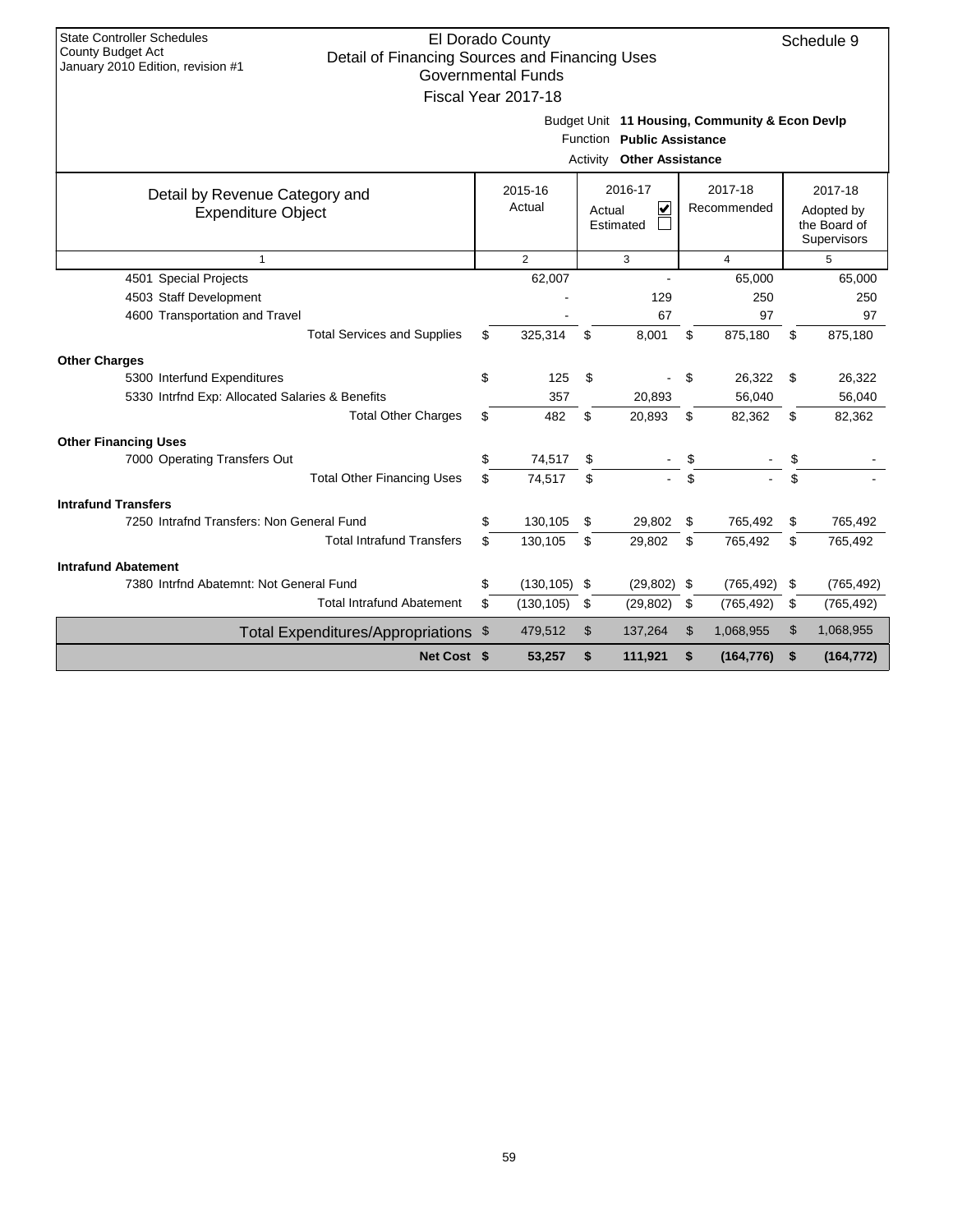| <b>State Controller Schedules</b><br>County Budget Act                              | El Dorado County          |                                                |                  | Schedule 9       |
|-------------------------------------------------------------------------------------|---------------------------|------------------------------------------------|------------------|------------------|
| Detail of Financing Sources and Financing Uses<br>January 2010 Edition, revision #1 | <b>Governmental Funds</b> |                                                |                  |                  |
|                                                                                     |                           |                                                |                  |                  |
|                                                                                     | Fiscal Year 2017-18       |                                                |                  |                  |
|                                                                                     |                           | Budget Unit 11 Housing, Community & Econ Devlp |                  |                  |
|                                                                                     |                           | Function Public Assistance                     |                  |                  |
|                                                                                     |                           | <b>Other Assistance</b><br>Activity            |                  |                  |
| Detail by Revenue Category and                                                      | 2015-16                   | 2016-17                                        | 2017-18          | 2017-18          |
| <b>Expenditure Object</b>                                                           | Actual                    | V<br>Actual                                    | Recommended      | Adopted by       |
|                                                                                     |                           | Estimated                                      |                  | the Board of     |
|                                                                                     |                           |                                                |                  | Supervisors      |
| $\mathbf{1}$                                                                        | $\overline{2}$            | 3                                              | 4                | 5                |
| 4501 Special Projects                                                               | 62,007                    |                                                | 65,000           | 65,000           |
| 4503 Staff Development                                                              |                           | 129                                            | 250              | 250              |
| 4600 Transportation and Travel                                                      |                           | 67                                             | 97               | 97               |
| <b>Total Services and Supplies</b>                                                  | \$<br>325,314             | \$<br>8,001                                    | \$<br>875,180    | \$<br>875,180    |
| <b>Other Charges</b>                                                                |                           |                                                |                  |                  |
| 5300 Interfund Expenditures                                                         | \$<br>125                 | \$                                             | \$<br>26,322     | \$<br>26,322     |
| 5330 Intrfnd Exp: Allocated Salaries & Benefits                                     | 357                       | 20,893                                         | 56,040           | 56,040           |
| <b>Total Other Charges</b>                                                          | \$<br>482                 | \$<br>20,893                                   | \$<br>82,362     | \$<br>82,362     |
| <b>Other Financing Uses</b>                                                         |                           |                                                |                  |                  |
| 7000 Operating Transfers Out                                                        | \$<br>74,517              | \$                                             | \$               | \$               |
| <b>Total Other Financing Uses</b>                                                   | \$<br>74,517              | \$                                             | \$               |                  |
| <b>Intrafund Transfers</b>                                                          |                           |                                                |                  |                  |
| 7250 Intrafnd Transfers: Non General Fund                                           | \$<br>130,105             | \$<br>29,802                                   | \$<br>765,492    | \$<br>765,492    |
| <b>Total Intrafund Transfers</b>                                                    | \$<br>130,105             | \$<br>29,802                                   | \$<br>765,492    | \$<br>765,492    |
| <b>Intrafund Abatement</b>                                                          |                           |                                                |                  |                  |
| 7380 Intrfnd Abatemnt: Not General Fund                                             | \$<br>(130, 105)          | \$<br>(29, 802)                                | \$<br>(765, 492) | \$<br>(765, 492) |
| <b>Total Intrafund Abatement</b>                                                    | \$<br>(130, 105)          | \$<br>(29, 802)                                | \$<br>(765, 492) | \$<br>(765, 492) |
| Total Expenditures/Appropriations \$                                                | 479,512                   | \$<br>137,264                                  | \$<br>1,068,955  | \$<br>1,068,955  |
| Net Cost \$                                                                         | 53,257                    | \$<br>111,921                                  | \$<br>(164, 776) | \$<br>(164, 772) |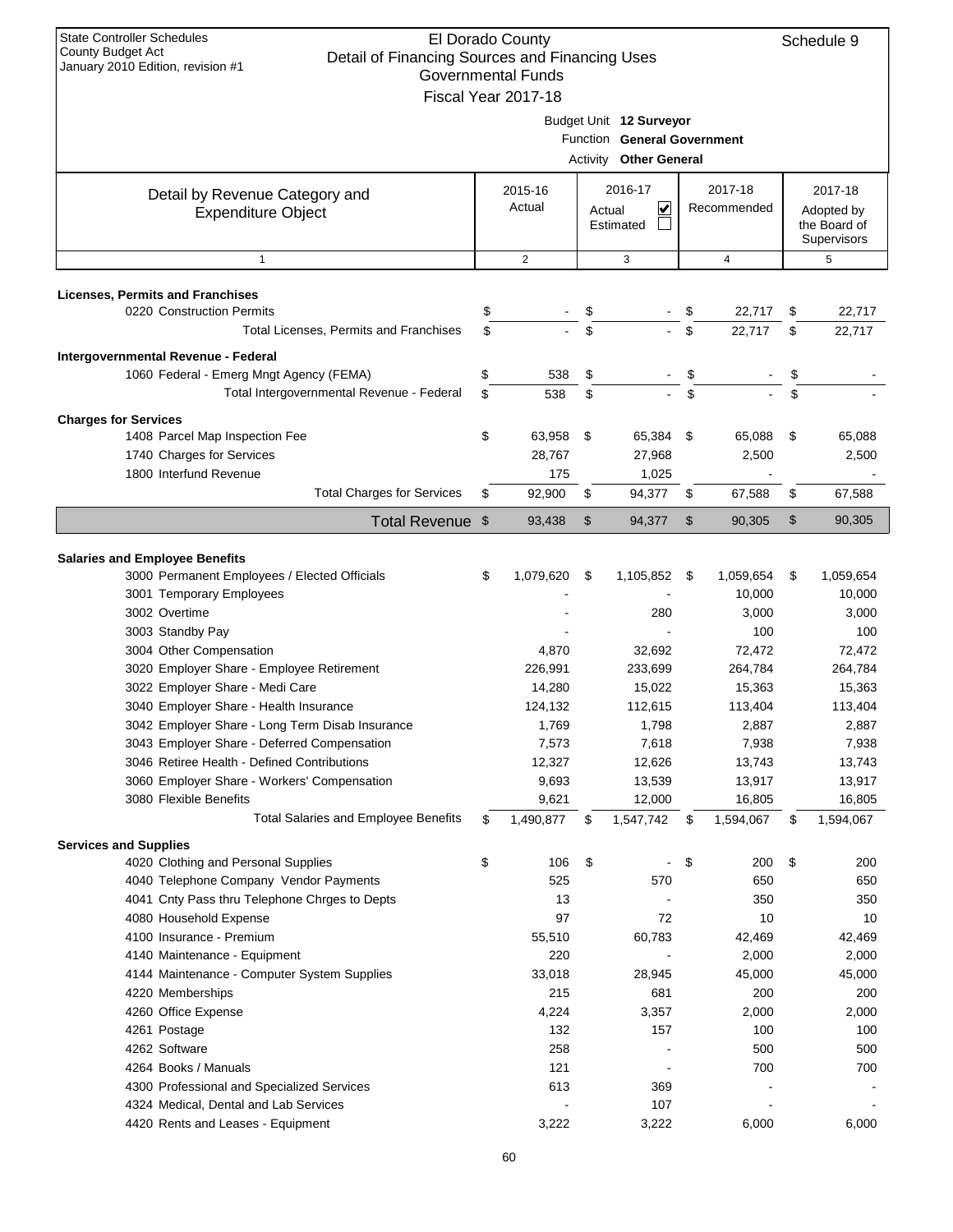| <b>State Controller Schedules</b><br>El Dorado County<br>County Budget Act<br>Detail of Financing Sources and Financing Uses<br>January 2010 Edition, revision #1<br><b>Governmental Funds</b> |    |                     |        |                               |      |                |    |                             |  |
|------------------------------------------------------------------------------------------------------------------------------------------------------------------------------------------------|----|---------------------|--------|-------------------------------|------|----------------|----|-----------------------------|--|
|                                                                                                                                                                                                |    |                     |        |                               |      |                |    |                             |  |
|                                                                                                                                                                                                |    | Fiscal Year 2017-18 |        |                               |      |                |    |                             |  |
|                                                                                                                                                                                                |    |                     |        | Budget Unit 12 Surveyor       |      |                |    |                             |  |
|                                                                                                                                                                                                |    |                     |        | Function General Government   |      |                |    |                             |  |
|                                                                                                                                                                                                |    |                     |        | <b>Activity Other General</b> |      |                |    |                             |  |
| Detail by Revenue Category and                                                                                                                                                                 |    | 2015-16             |        | 2016-17                       |      | 2017-18        |    | 2017-18                     |  |
| <b>Expenditure Object</b>                                                                                                                                                                      |    | Actual              | Actual | ⊻                             |      | Recommended    |    | Adopted by                  |  |
|                                                                                                                                                                                                |    |                     |        | Estimated                     |      |                |    | the Board of<br>Supervisors |  |
| $\mathbf{1}$                                                                                                                                                                                   |    | $\overline{2}$      |        | 3                             |      | $\overline{4}$ |    | 5                           |  |
|                                                                                                                                                                                                |    |                     |        |                               |      |                |    |                             |  |
| <b>Licenses, Permits and Franchises</b>                                                                                                                                                        |    |                     |        |                               |      |                |    |                             |  |
| 0220 Construction Permits                                                                                                                                                                      | \$ |                     | \$     |                               | \$   | 22,717         | \$ | 22,717                      |  |
| Total Licenses, Permits and Franchises                                                                                                                                                         | \$ |                     | \$     |                               | \$   | 22,717         | \$ | 22,717                      |  |
| Intergovernmental Revenue - Federal                                                                                                                                                            |    |                     |        |                               |      |                |    |                             |  |
| 1060 Federal - Emerg Mngt Agency (FEMA)                                                                                                                                                        | \$ | 538                 | \$     |                               | \$   |                | \$ |                             |  |
| Total Intergovernmental Revenue - Federal                                                                                                                                                      | \$ | 538                 | \$     |                               | \$   |                | \$ |                             |  |
| <b>Charges for Services</b>                                                                                                                                                                    |    |                     |        |                               |      |                |    |                             |  |
| 1408 Parcel Map Inspection Fee                                                                                                                                                                 | \$ | 63,958              | \$     | 65,384 \$                     |      | 65,088         | \$ | 65,088                      |  |
| 1740 Charges for Services                                                                                                                                                                      |    | 28,767              |        | 27,968                        |      | 2,500          |    | 2,500                       |  |
| 1800 Interfund Revenue                                                                                                                                                                         |    | 175                 |        | 1,025                         |      |                |    |                             |  |
| <b>Total Charges for Services</b>                                                                                                                                                              | \$ | 92,900              | \$     | 94,377                        | \$   | 67,588         | \$ | 67,588                      |  |
|                                                                                                                                                                                                |    |                     |        |                               |      |                |    |                             |  |
| Total Revenue \$                                                                                                                                                                               |    | 93,438              | \$     | 94,377                        | \$   | 90,305         | \$ | 90,305                      |  |
| <b>Salaries and Employee Benefits</b>                                                                                                                                                          |    |                     |        |                               |      |                |    |                             |  |
| 3000 Permanent Employees / Elected Officials                                                                                                                                                   | \$ | 1,079,620           | -\$    | 1,105,852                     | - \$ | 1,059,654      | \$ | 1,059,654                   |  |
| 3001 Temporary Employees                                                                                                                                                                       |    |                     |        |                               |      | 10,000         |    | 10,000                      |  |
| 3002 Overtime                                                                                                                                                                                  |    |                     |        | 280                           |      | 3,000          |    | 3,000                       |  |
| 3003 Standby Pay                                                                                                                                                                               |    |                     |        |                               |      | 100            |    | 100                         |  |
| 3004 Other Compensation                                                                                                                                                                        |    | 4,870               |        | 32,692                        |      | 72,472         |    | 72,472                      |  |
| 3020 Employer Share - Employee Retirement                                                                                                                                                      |    | 226,991             |        | 233,699                       |      | 264,784        |    | 264,784                     |  |
| 3022 Employer Share - Medi Care                                                                                                                                                                |    | 14,280              |        | 15,022                        |      | 15,363         |    | 15,363                      |  |
| 3040 Employer Share - Health Insurance                                                                                                                                                         |    | 124,132             |        | 112,615                       |      | 113,404        |    | 113,404                     |  |
| 3042 Employer Share - Long Term Disab Insurance                                                                                                                                                |    | 1,769               |        | 1,798                         |      | 2,887          |    | 2,887                       |  |
| 3043 Employer Share - Deferred Compensation                                                                                                                                                    |    | 7,573               |        | 7,618                         |      | 7,938          |    | 7,938                       |  |
| 3046 Retiree Health - Defined Contributions                                                                                                                                                    |    | 12,327              |        | 12,626                        |      | 13,743         |    | 13,743                      |  |
| 3060 Employer Share - Workers' Compensation                                                                                                                                                    |    | 9,693               |        | 13,539                        |      | 13,917         |    | 13,917                      |  |
| 3080 Flexible Benefits                                                                                                                                                                         |    | 9,621               |        | 12,000                        |      | 16,805         |    | 16,805                      |  |
| <b>Total Salaries and Employee Benefits</b>                                                                                                                                                    | \$ | 1,490,877           | \$     | 1,547,742                     | \$   | 1,594,067      | \$ | 1,594,067                   |  |
| <b>Services and Supplies</b>                                                                                                                                                                   |    |                     |        |                               |      |                |    |                             |  |
| 4020 Clothing and Personal Supplies                                                                                                                                                            | \$ | 106                 | \$     |                               | \$   | 200            | \$ | 200                         |  |
| 4040 Telephone Company Vendor Payments                                                                                                                                                         |    | 525                 |        | 570                           |      | 650            |    | 650                         |  |
| 4041 Cnty Pass thru Telephone Chrges to Depts                                                                                                                                                  |    | 13                  |        |                               |      | 350            |    | 350                         |  |
| 4080 Household Expense                                                                                                                                                                         |    | 97                  |        | 72                            |      | 10             |    | 10                          |  |
| 4100 Insurance - Premium                                                                                                                                                                       |    | 55,510              |        | 60,783                        |      | 42,469         |    | 42,469                      |  |
| 4140 Maintenance - Equipment                                                                                                                                                                   |    | 220                 |        |                               |      | 2,000          |    | 2,000                       |  |
| 4144 Maintenance - Computer System Supplies                                                                                                                                                    |    | 33,018              |        | 28,945                        |      | 45,000         |    | 45,000                      |  |
| 4220 Memberships                                                                                                                                                                               |    | 215                 |        | 681                           |      | 200            |    | 200                         |  |
| 4260 Office Expense                                                                                                                                                                            |    | 4,224               |        | 3,357                         |      | 2,000          |    | 2,000                       |  |
| 4261 Postage                                                                                                                                                                                   |    | 132                 |        | 157                           |      | 100            |    | 100                         |  |
| 4262 Software                                                                                                                                                                                  |    | 258                 |        |                               |      | 500            |    | 500                         |  |
| 4264 Books / Manuals                                                                                                                                                                           |    | 121                 |        |                               |      | 700            |    | 700                         |  |
| 4300 Professional and Specialized Services                                                                                                                                                     |    | 613                 |        | 369                           |      |                |    |                             |  |
| 4324 Medical, Dental and Lab Services                                                                                                                                                          |    |                     |        | 107                           |      |                |    |                             |  |
| 4420 Rents and Leases - Equipment                                                                                                                                                              |    | 3,222               |        | 3,222                         |      | 6,000          |    | 6,000                       |  |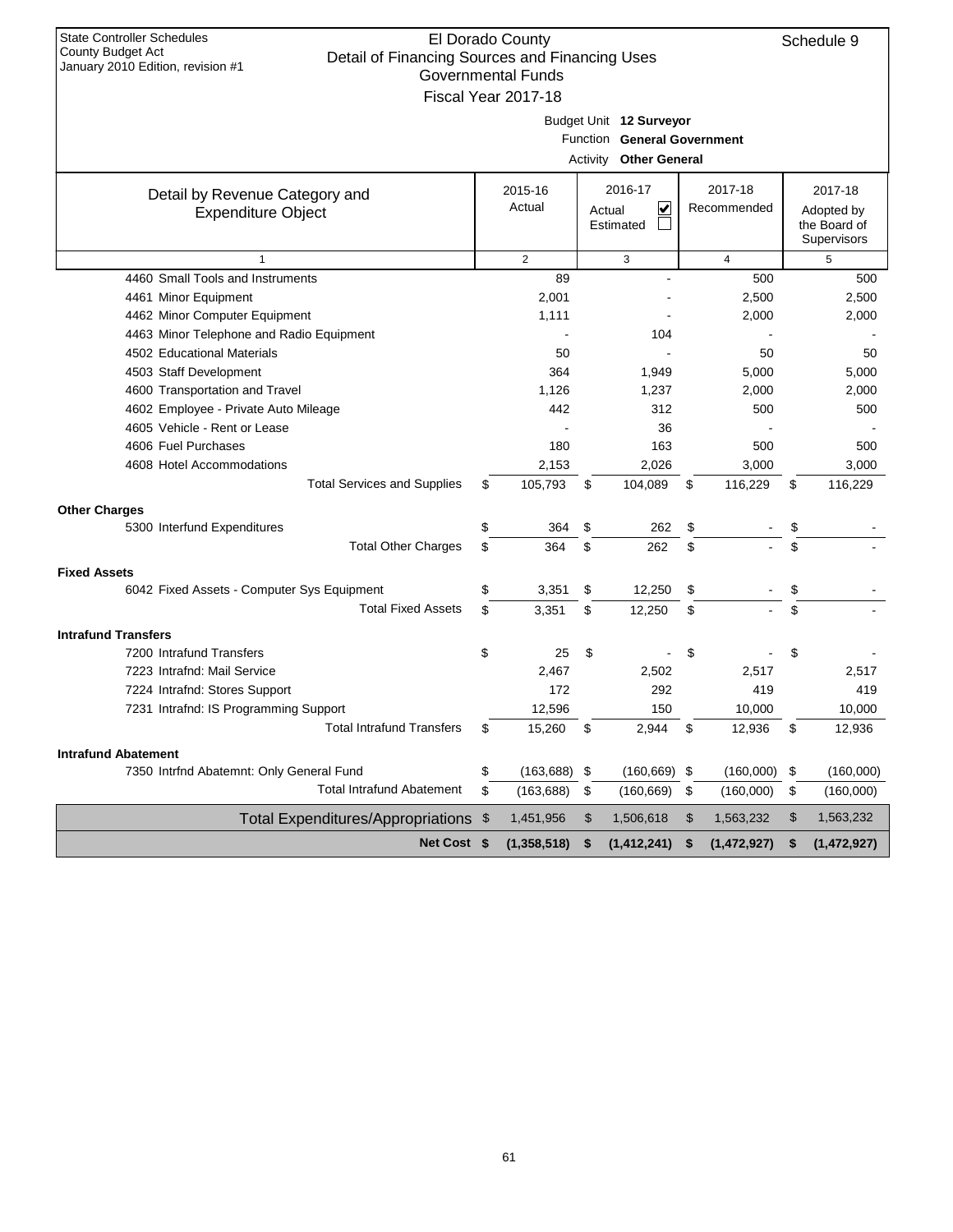| <b>State Controller Schedules</b><br>County Budget Act                              | El Dorado County          |                               |                   | Schedule 9                  |
|-------------------------------------------------------------------------------------|---------------------------|-------------------------------|-------------------|-----------------------------|
| Detail of Financing Sources and Financing Uses<br>January 2010 Edition, revision #1 |                           |                               |                   |                             |
|                                                                                     | <b>Governmental Funds</b> |                               |                   |                             |
|                                                                                     | Fiscal Year 2017-18       |                               |                   |                             |
|                                                                                     |                           | Budget Unit 12 Surveyor       |                   |                             |
|                                                                                     |                           | Function General Government   |                   |                             |
|                                                                                     |                           | <b>Activity Other General</b> |                   |                             |
|                                                                                     |                           |                               |                   |                             |
| Detail by Revenue Category and                                                      | 2015-16                   | 2016-17                       | 2017-18           | 2017-18                     |
| <b>Expenditure Object</b>                                                           | Actual                    | ⊻<br>Actual                   | Recommended       | Adopted by                  |
|                                                                                     |                           | Estimated                     |                   | the Board of<br>Supervisors |
|                                                                                     | $\overline{2}$            | 3                             | $\overline{4}$    | 5                           |
| 4460 Small Tools and Instruments                                                    | 89                        |                               | 500               | 500                         |
| 4461 Minor Equipment                                                                | 2,001                     |                               | 2,500             | 2,500                       |
| 4462 Minor Computer Equipment                                                       | 1,111                     |                               | 2,000             | 2,000                       |
| 4463 Minor Telephone and Radio Equipment                                            |                           | 104                           |                   |                             |
| 4502 Educational Materials                                                          | 50                        |                               | 50                | 50                          |
| 4503 Staff Development                                                              | 364                       | 1,949                         | 5,000             | 5,000                       |
|                                                                                     |                           |                               |                   |                             |
| 4600 Transportation and Travel<br>4602 Employee - Private Auto Mileage              | 1,126<br>442              | 1,237<br>312                  | 2,000<br>500      | 2,000                       |
|                                                                                     |                           |                               |                   | 500                         |
| 4605 Vehicle - Rent or Lease                                                        |                           | 36                            |                   |                             |
| 4606 Fuel Purchases                                                                 | 180                       | 163                           | 500               | 500                         |
| 4608 Hotel Accommodations                                                           | 2,153                     | 2,026                         | 3,000             | 3,000                       |
| <b>Total Services and Supplies</b>                                                  | \$<br>105,793             | \$<br>104,089                 | \$<br>116,229     | \$<br>116,229               |
| <b>Other Charges</b>                                                                |                           |                               |                   |                             |
| 5300 Interfund Expenditures                                                         | \$<br>364                 | \$<br>262                     | \$                | \$                          |
| <b>Total Other Charges</b>                                                          | \$<br>364                 | \$<br>262                     | \$                | \$                          |
| <b>Fixed Assets</b>                                                                 |                           |                               |                   |                             |
| 6042 Fixed Assets - Computer Sys Equipment                                          | \$<br>3,351               | \$<br>12,250                  | \$                | \$                          |
| <b>Total Fixed Assets</b>                                                           | \$<br>3,351               | \$<br>12,250                  | \$                | \$                          |
| <b>Intrafund Transfers</b>                                                          |                           |                               |                   |                             |
| 7200 Intrafund Transfers                                                            | \$<br>25                  | \$                            | \$                | \$                          |
| 7223 Intrafnd: Mail Service                                                         | 2,467                     | 2,502                         | 2,517             | 2,517                       |
| 7224 Intrafnd: Stores Support                                                       | 172                       | 292                           | 419               | 419                         |
| 7231 Intrafnd: IS Programming Support                                               | 12,596                    | 150                           | 10,000            | 10,000                      |
| <b>Total Intrafund Transfers</b>                                                    | \$                        | \$<br>2,944                   | \$                | \$                          |
|                                                                                     | 15,260                    |                               | 12,936            | 12,936                      |
| <b>Intrafund Abatement</b>                                                          |                           |                               |                   |                             |
| 7350 Intrfnd Abatemnt: Only General Fund                                            | \$<br>$(163, 688)$ \$     | $(160, 669)$ \$               | $(160,000)$ \$    | (160,000)                   |
| <b>Total Intrafund Abatement</b>                                                    | \$<br>(163, 688)          | \$<br>(160, 669)              | \$<br>(160,000)   | \$<br>(160,000)             |
| Total Expenditures/Appropriations \$                                                | 1,451,956                 | \$<br>1,506,618               | \$<br>1,563,232   | \$<br>1,563,232             |
| Net Cost \$                                                                         | (1, 358, 518)             | \$<br>(1, 412, 241)           | \$<br>(1,472,927) | \$<br>(1,472,927)           |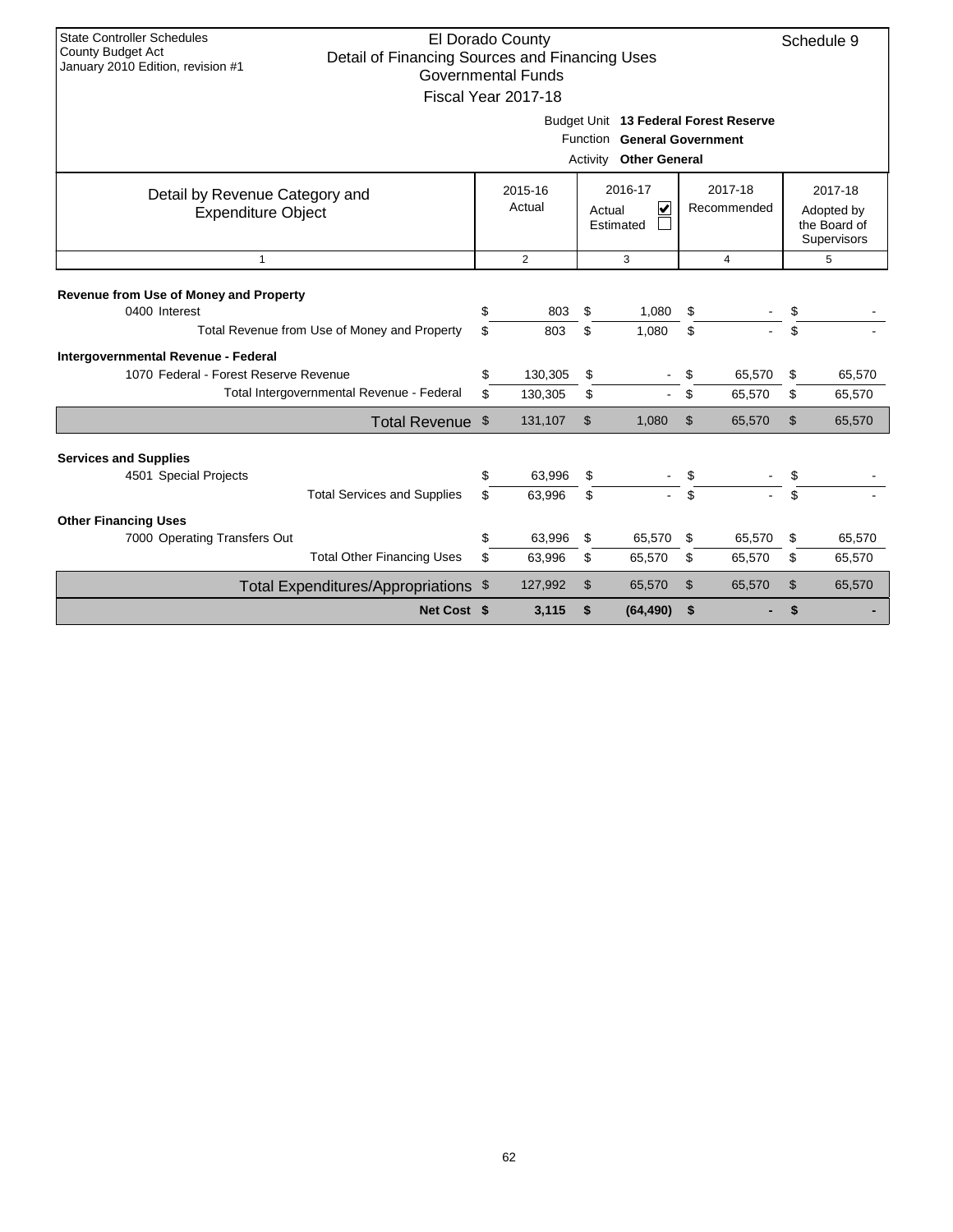| <b>State Controller Schedules</b><br>El Dorado County<br><b>County Budget Act</b><br>Detail of Financing Sources and Financing Uses<br>January 2010 Edition, revision #1<br><b>Governmental Funds</b><br>Fiscal Year 2017-18<br>Budget Unit 13 Federal Forest Reserve |                  |     |                   |                |                                                       |     |                        |                |                                                      |  |
|-----------------------------------------------------------------------------------------------------------------------------------------------------------------------------------------------------------------------------------------------------------------------|------------------|-----|-------------------|----------------|-------------------------------------------------------|-----|------------------------|----------------|------------------------------------------------------|--|
|                                                                                                                                                                                                                                                                       |                  |     |                   |                | Function General Government<br>Activity Other General |     |                        |                |                                                      |  |
| Detail by Revenue Category and<br><b>Expenditure Object</b>                                                                                                                                                                                                           |                  |     | 2015-16<br>Actual |                | 2016-17<br>V<br>Actual<br>Estimated                   |     | 2017-18<br>Recommended |                | 2017-18<br>Adopted by<br>the Board of<br>Supervisors |  |
| $\mathbf{1}$                                                                                                                                                                                                                                                          |                  |     | $\overline{2}$    |                | 3                                                     |     | $\overline{4}$         |                | 5                                                    |  |
| Revenue from Use of Money and Property<br>0400 Interest                                                                                                                                                                                                               |                  | \$  | 803               | \$             | 1,080                                                 | \$  |                        | \$             |                                                      |  |
| Total Revenue from Use of Money and Property                                                                                                                                                                                                                          |                  | \$  | 803               | \$             | 1,080                                                 | \$  |                        | \$             |                                                      |  |
| Intergovernmental Revenue - Federal<br>1070 Federal - Forest Reserve Revenue                                                                                                                                                                                          |                  | \$  | 130,305           | \$             |                                                       | \$  | 65,570                 | \$             | 65,570                                               |  |
| Total Intergovernmental Revenue - Federal                                                                                                                                                                                                                             |                  | \$  | 130,305           | \$             |                                                       | \$  | 65,570                 | \$             | 65,570                                               |  |
|                                                                                                                                                                                                                                                                       | Total Revenue \$ |     | 131,107           | $\mathfrak{S}$ | 1,080                                                 | \$  | 65,570                 | $\mathfrak{L}$ | 65,570                                               |  |
| <b>Services and Supplies</b>                                                                                                                                                                                                                                          |                  |     |                   |                |                                                       |     |                        |                |                                                      |  |
| 4501 Special Projects                                                                                                                                                                                                                                                 |                  | \$  | 63,996            | \$             |                                                       | \$  |                        | \$             |                                                      |  |
| <b>Total Services and Supplies</b>                                                                                                                                                                                                                                    |                  | \$. | 63.996            | \$             |                                                       | \$. |                        | \$.            |                                                      |  |
| <b>Other Financing Uses</b>                                                                                                                                                                                                                                           |                  |     |                   |                |                                                       |     |                        |                |                                                      |  |
| 7000 Operating Transfers Out                                                                                                                                                                                                                                          |                  | \$  | 63,996            | \$             | 65,570                                                | \$  | 65,570                 | \$             | 65,570                                               |  |
| <b>Total Other Financing Uses</b>                                                                                                                                                                                                                                     |                  | \$  | 63,996            | \$             | 65,570                                                | \$  | 65,570                 | \$             | 65,570                                               |  |
| Total Expenditures/Appropriations \$                                                                                                                                                                                                                                  |                  |     | 127,992           | $\mathsf{\$}$  | 65,570                                                | \$  | 65,570                 | \$             | 65,570                                               |  |
|                                                                                                                                                                                                                                                                       | Net Cost \$      |     | 3,115             | \$             | (64, 490)                                             | \$  |                        | \$             |                                                      |  |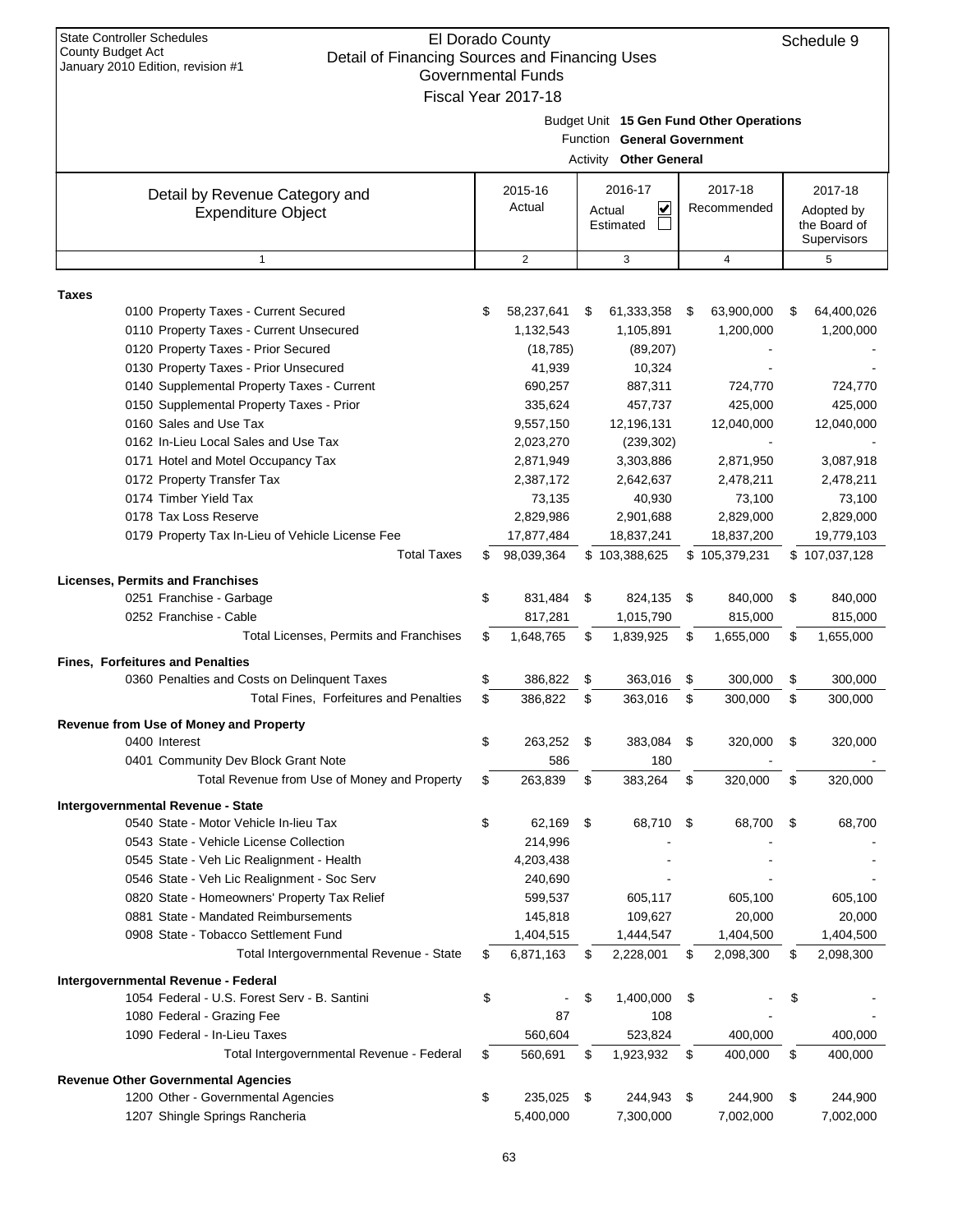| <b>State Controller Schedules</b><br><b>County Budget Act</b><br>Detail of Financing Sources and Financing Uses<br>January 2010 Edition, revision #1 |          | El Dorado County<br><b>Governmental Funds</b><br>Fiscal Year 2017-18 |          |                                                              |          |                                               |          | Schedule 9                                           |
|------------------------------------------------------------------------------------------------------------------------------------------------------|----------|----------------------------------------------------------------------|----------|--------------------------------------------------------------|----------|-----------------------------------------------|----------|------------------------------------------------------|
|                                                                                                                                                      |          |                                                                      |          | Function General Government<br><b>Activity Other General</b> |          | Budget Unit 15 Gen Fund Other Operations      |          |                                                      |
| Detail by Revenue Category and<br><b>Expenditure Object</b>                                                                                          |          | 2015-16<br>Actual                                                    |          | 2016-17<br>V<br>Actual<br>Estimated                          |          | 2017-18<br>Recommended                        |          | 2017-18<br>Adopted by<br>the Board of<br>Supervisors |
| $\mathbf{1}$                                                                                                                                         |          | 2                                                                    |          | 3                                                            |          | 4                                             |          | 5                                                    |
| <b>Taxes</b>                                                                                                                                         |          |                                                                      |          |                                                              |          |                                               |          |                                                      |
| 0100 Property Taxes - Current Secured<br>0110 Property Taxes - Current Unsecured<br>0120 Property Taxes - Prior Secured                              | \$       | 58,237,641<br>1,132,543<br>(18, 785)                                 | S        | 61,333,358<br>1,105,891<br>(89, 207)                         | \$       | 63,900,000<br>1,200,000                       | S        | 64,400,026<br>1,200,000                              |
| 0130 Property Taxes - Prior Unsecured<br>0140 Supplemental Property Taxes - Current<br>0150 Supplemental Property Taxes - Prior                      |          | 41,939<br>690,257<br>335,624                                         |          | 10,324<br>887,311<br>457,737                                 |          | 724,770<br>425,000                            |          | 724,770<br>425,000                                   |
| 0160 Sales and Use Tax<br>0162 In-Lieu Local Sales and Use Tax                                                                                       |          | 9,557,150<br>2,023,270                                               |          | 12,196,131<br>(239, 302)                                     |          | 12,040,000                                    |          | 12,040,000                                           |
| 0171 Hotel and Motel Occupancy Tax<br>0172 Property Transfer Tax<br>0174 Timber Yield Tax<br>0178 Tax Loss Reserve                                   |          | 2,871,949<br>2,387,172<br>73,135<br>2,829,986                        |          | 3,303,886<br>2,642,637<br>40,930<br>2,901,688                |          | 2,871,950<br>2,478,211<br>73,100<br>2,829,000 |          | 3,087,918<br>2,478,211<br>73,100<br>2,829,000        |
| 0179 Property Tax In-Lieu of Vehicle License Fee<br><b>Total Taxes</b>                                                                               | S        | 17,877,484<br>98,039,364                                             |          | 18,837,241<br>\$103,388,625                                  |          | 18,837,200<br>\$105,379,231                   |          | 19,779,103<br>\$107,037,128                          |
| <b>Licenses, Permits and Franchises</b>                                                                                                              |          |                                                                      |          |                                                              |          |                                               |          |                                                      |
| 0251 Franchise - Garbage<br>0252 Franchise - Cable                                                                                                   | \$       | 831,484<br>817,281                                                   | \$       | 824,135<br>1,015,790                                         | - \$     | 840,000<br>815,000                            | \$       | 840,000<br>815,000                                   |
| Total Licenses, Permits and Franchises                                                                                                               | \$       | 1,648,765                                                            | \$       | 1,839,925                                                    | \$       | 1,655,000                                     | \$       | 1,655,000                                            |
| <b>Fines, Forfeitures and Penalties</b><br>0360 Penalties and Costs on Delinguent Taxes<br><b>Total Fines, Forfeitures and Penalties</b>             | \$<br>\$ | 386,822<br>386,822                                                   | \$<br>\$ | 363,016<br>363,016                                           | \$<br>\$ | 300,000<br>300,000                            | \$<br>\$ | 300,000<br>300,000                                   |
| Revenue from Use of Money and Property                                                                                                               |          |                                                                      |          |                                                              |          |                                               |          |                                                      |
| 0400 Interest<br>0401 Community Dev Block Grant Note                                                                                                 | \$       | 263,252<br>586                                                       | \$       | 383,084<br>180                                               | \$       | 320,000                                       | \$       | 320,000                                              |
| Total Revenue from Use of Money and Property                                                                                                         | \$       | 263,839                                                              | \$       | 383,264                                                      | \$       | 320,000                                       | \$       | 320,000                                              |
| Intergovernmental Revenue - State<br>0540 State - Motor Vehicle In-lieu Tax<br>0543 State - Vehicle License Collection                               | \$       | 62,169<br>214,996                                                    | \$       | 68,710                                                       | \$       | 68,700                                        | \$       | 68,700                                               |
| 0545 State - Veh Lic Realignment - Health<br>0546 State - Veh Lic Realignment - Soc Serv                                                             |          | 4,203,438<br>240,690                                                 |          |                                                              |          |                                               |          |                                                      |
| 0820 State - Homeowners' Property Tax Relief<br>0881 State - Mandated Reimbursements<br>0908 State - Tobacco Settlement Fund                         |          | 599,537<br>145,818<br>1,404,515                                      |          | 605,117<br>109,627<br>1,444,547                              |          | 605,100<br>20,000<br>1,404,500                |          | 605,100<br>20,000<br>1,404,500                       |
| Total Intergovernmental Revenue - State                                                                                                              | \$       | 6,871,163                                                            | \$       | 2,228,001                                                    | \$       | 2,098,300                                     | \$       | 2,098,300                                            |
| Intergovernmental Revenue - Federal                                                                                                                  |          |                                                                      |          |                                                              |          |                                               |          |                                                      |
| 1054 Federal - U.S. Forest Serv - B. Santini<br>1080 Federal - Grazing Fee<br>1090 Federal - In-Lieu Taxes                                           | \$       | 87<br>560,604                                                        | \$       | 1,400,000<br>108<br>523,824                                  | \$       | 400,000                                       | \$       | 400,000                                              |
| Total Intergovernmental Revenue - Federal                                                                                                            | \$       | 560,691                                                              | \$       | 1,923,932                                                    | \$       | 400,000                                       | \$       | 400,000                                              |
| <b>Revenue Other Governmental Agencies</b><br>1200 Other - Governmental Agencies                                                                     | \$       | 235,025                                                              | \$       | 244,943                                                      | \$       | 244,900                                       | \$       | 244,900                                              |
| 1207 Shingle Springs Rancheria                                                                                                                       |          | 5,400,000                                                            |          | 7,300,000                                                    |          | 7,002,000                                     |          | 7,002,000                                            |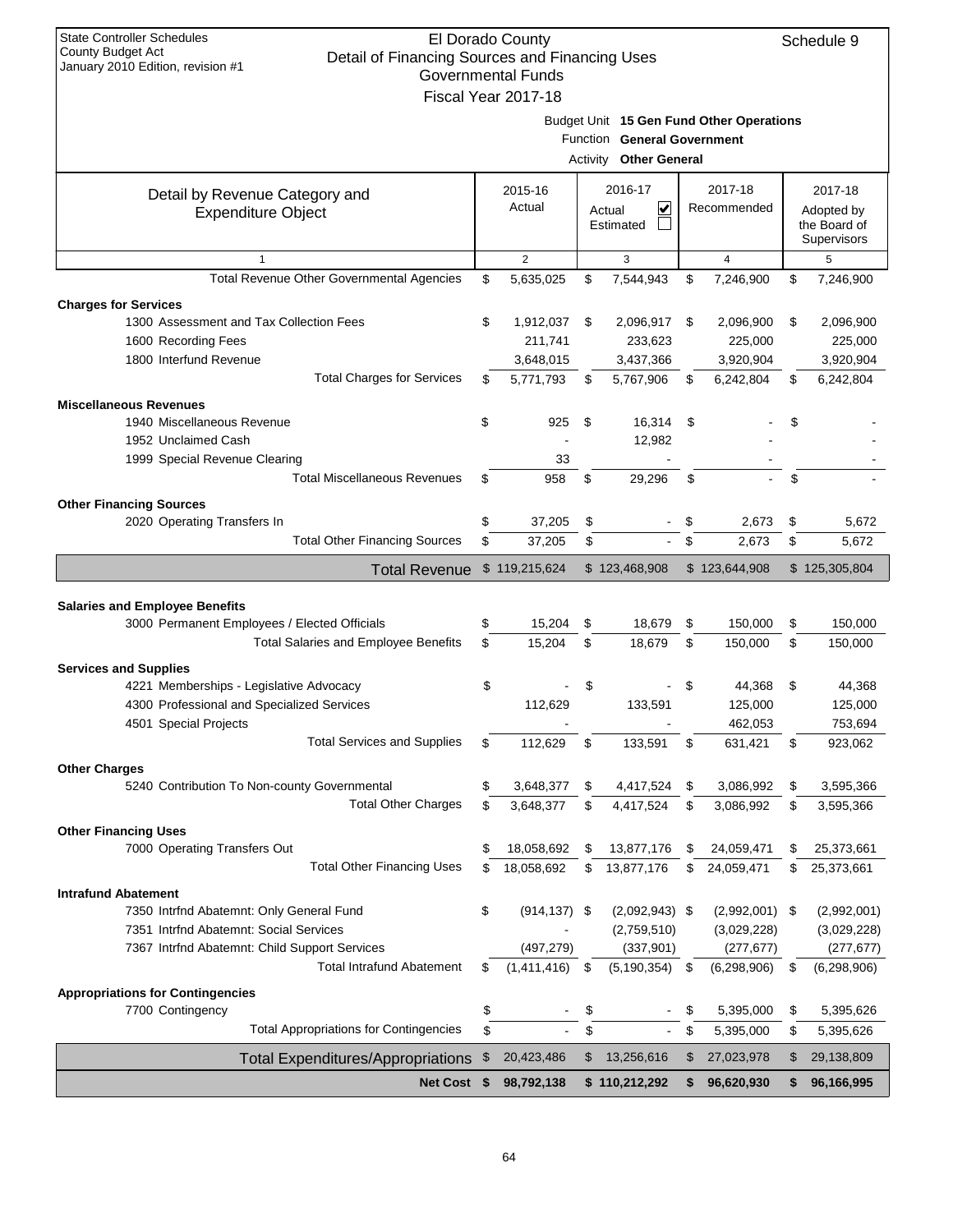| <b>State Controller Schedules</b><br>El Dorado County<br>Schedule 9<br><b>County Budget Act</b><br>Detail of Financing Sources and Financing Uses |    |                                                  |    |                                                                                                          |      |                        |    |                                        |  |  |
|---------------------------------------------------------------------------------------------------------------------------------------------------|----|--------------------------------------------------|----|----------------------------------------------------------------------------------------------------------|------|------------------------|----|----------------------------------------|--|--|
| January 2010 Edition, revision #1                                                                                                                 |    | <b>Governmental Funds</b><br>Fiscal Year 2017-18 |    |                                                                                                          |      |                        |    |                                        |  |  |
|                                                                                                                                                   |    |                                                  |    | Budget Unit 15 Gen Fund Other Operations<br>Function General Government<br><b>Activity Other General</b> |      |                        |    |                                        |  |  |
| Detail by Revenue Category and<br><b>Expenditure Object</b>                                                                                       |    | 2015-16<br>Actual                                |    | 2016-17<br>V<br>Actual                                                                                   |      | 2017-18<br>Recommended |    | 2017-18<br>Adopted by                  |  |  |
|                                                                                                                                                   |    |                                                  |    | Estimated                                                                                                |      |                        |    | the Board of<br>Supervisors            |  |  |
| $\mathbf{1}$                                                                                                                                      |    | $\overline{2}$                                   |    | 3                                                                                                        |      | $\overline{4}$         |    | 5                                      |  |  |
| Total Revenue Other Governmental Agencies                                                                                                         | \$ | 5,635,025                                        | \$ | 7,544,943                                                                                                | \$   | 7,246,900              | \$ | 7,246,900                              |  |  |
| <b>Charges for Services</b>                                                                                                                       |    |                                                  |    |                                                                                                          |      |                        |    |                                        |  |  |
| 1300 Assessment and Tax Collection Fees                                                                                                           | \$ | 1,912,037                                        | \$ | 2,096,917                                                                                                | \$   | 2,096,900              | \$ | 2,096,900                              |  |  |
| 1600 Recording Fees                                                                                                                               |    | 211,741                                          |    | 233,623                                                                                                  |      | 225,000                |    | 225,000                                |  |  |
| 1800 Interfund Revenue                                                                                                                            |    | 3,648,015                                        |    | 3,437,366                                                                                                |      | 3,920,904              |    | 3,920,904                              |  |  |
| <b>Total Charges for Services</b>                                                                                                                 | \$ | 5,771,793                                        | \$ | 5,767,906                                                                                                | \$   | 6,242,804              | \$ | 6,242,804                              |  |  |
| <b>Miscellaneous Revenues</b>                                                                                                                     |    |                                                  |    |                                                                                                          |      |                        |    |                                        |  |  |
| 1940 Miscellaneous Revenue                                                                                                                        | \$ | 925                                              | \$ | 16,314                                                                                                   | \$   |                        | \$ |                                        |  |  |
| 1952 Unclaimed Cash                                                                                                                               |    |                                                  |    | 12,982                                                                                                   |      |                        |    |                                        |  |  |
| 1999 Special Revenue Clearing                                                                                                                     |    | 33                                               |    |                                                                                                          |      |                        |    |                                        |  |  |
| <b>Total Miscellaneous Revenues</b>                                                                                                               | \$ | 958                                              | \$ | 29,296                                                                                                   | \$   |                        | \$ |                                        |  |  |
| <b>Other Financing Sources</b>                                                                                                                    |    |                                                  |    |                                                                                                          |      |                        |    |                                        |  |  |
| 2020 Operating Transfers In                                                                                                                       | \$ | 37,205                                           | \$ |                                                                                                          | \$   | 2,673                  | \$ | 5,672                                  |  |  |
| <b>Total Other Financing Sources</b>                                                                                                              | \$ | 37,205                                           | \$ | $\blacksquare$                                                                                           | \$   | 2,673                  | \$ | 5,672                                  |  |  |
| <b>Total Revenue</b>                                                                                                                              |    | \$119,215,624                                    |    | \$123,468,908                                                                                            |      | \$123,644,908          |    | \$125,305,804                          |  |  |
|                                                                                                                                                   |    |                                                  |    |                                                                                                          |      |                        |    |                                        |  |  |
|                                                                                                                                                   |    |                                                  |    |                                                                                                          |      |                        |    |                                        |  |  |
| <b>Salaries and Employee Benefits</b>                                                                                                             |    |                                                  |    |                                                                                                          |      |                        |    |                                        |  |  |
| 3000 Permanent Employees / Elected Officials                                                                                                      | \$ | 15,204                                           | \$ | 18,679                                                                                                   | \$   | 150,000                | \$ | 150,000                                |  |  |
| <b>Total Salaries and Employee Benefits</b>                                                                                                       | \$ | 15,204                                           | \$ | 18.679                                                                                                   | \$   | 150,000                | \$ | 150,000                                |  |  |
|                                                                                                                                                   |    |                                                  |    |                                                                                                          |      |                        |    |                                        |  |  |
| <b>Services and Supplies</b>                                                                                                                      |    |                                                  |    |                                                                                                          | \$   |                        |    |                                        |  |  |
| 4221 Memberships - Legislative Advocacy                                                                                                           | \$ |                                                  | \$ |                                                                                                          |      | 44,368                 | \$ | 44,368                                 |  |  |
| 4300 Professional and Specialized Services                                                                                                        |    | 112,629                                          |    | 133,591                                                                                                  |      | 125,000                |    | 125,000                                |  |  |
| 4501 Special Projects<br><b>Total Services and Supplies</b>                                                                                       | \$ | 112,629                                          | \$ | 133,591                                                                                                  | \$   | 462,053<br>631,421     | \$ | 753,694<br>923,062                     |  |  |
|                                                                                                                                                   |    |                                                  |    |                                                                                                          |      |                        |    |                                        |  |  |
| <b>Other Charges</b>                                                                                                                              |    |                                                  |    |                                                                                                          |      |                        |    |                                        |  |  |
| 5240 Contribution To Non-county Governmental                                                                                                      | \$ | 3,648,377                                        | \$ | 4,417,524                                                                                                | \$   | 3,086,992              | \$ | 3,595,366                              |  |  |
| <b>Total Other Charges</b>                                                                                                                        | \$ | 3,648,377                                        | \$ | 4,417,524                                                                                                | \$   | 3,086,992              | \$ | 3,595,366                              |  |  |
| <b>Other Financing Uses</b>                                                                                                                       |    |                                                  |    |                                                                                                          |      |                        |    |                                        |  |  |
| 7000 Operating Transfers Out                                                                                                                      | \$ | 18,058,692                                       | \$ | 13,877,176                                                                                               | \$   | 24,059,471             | \$ | 25,373,661                             |  |  |
| <b>Total Other Financing Uses</b>                                                                                                                 | \$ | 18,058,692                                       | \$ | 13,877,176                                                                                               | \$   | 24,059,471             | \$ | 25,373,661                             |  |  |
| <b>Intrafund Abatement</b>                                                                                                                        |    |                                                  |    |                                                                                                          |      |                        |    |                                        |  |  |
| 7350 Intrfnd Abatemnt: Only General Fund                                                                                                          | \$ | $(914, 137)$ \$                                  |    | $(2,092,943)$ \$                                                                                         |      | $(2,992,001)$ \$       |    | (2,992,001)                            |  |  |
| 7351 Intrfnd Abatemnt: Social Services                                                                                                            |    |                                                  |    | (2,759,510)                                                                                              |      | (3,029,228)            |    |                                        |  |  |
| 7367 Intrfnd Abatemnt: Child Support Services                                                                                                     |    | (497, 279)                                       |    | (337, 901)                                                                                               |      | (277, 677)             |    |                                        |  |  |
| <b>Total Intrafund Abatement</b>                                                                                                                  | \$ | (1,411,416)                                      | \$ | (5, 190, 354)                                                                                            | - \$ | (6, 298, 906)          | \$ | (6, 298, 906)                          |  |  |
| <b>Appropriations for Contingencies</b>                                                                                                           |    |                                                  |    |                                                                                                          |      |                        |    |                                        |  |  |
| 7700 Contingency                                                                                                                                  | \$ |                                                  | \$ |                                                                                                          | \$   | 5,395,000              | \$ | (3,029,228)<br>(277, 677)<br>5,395,626 |  |  |
| <b>Total Appropriations for Contingencies</b>                                                                                                     | \$ |                                                  | \$ |                                                                                                          | \$   | 5,395,000              | \$ | 5,395,626                              |  |  |
| <b>Total Expenditures/Appropriations</b>                                                                                                          | \$ | 20,423,486                                       | \$ | 13,256,616                                                                                               | \$   | 27,023,978             | \$ | 29,138,809                             |  |  |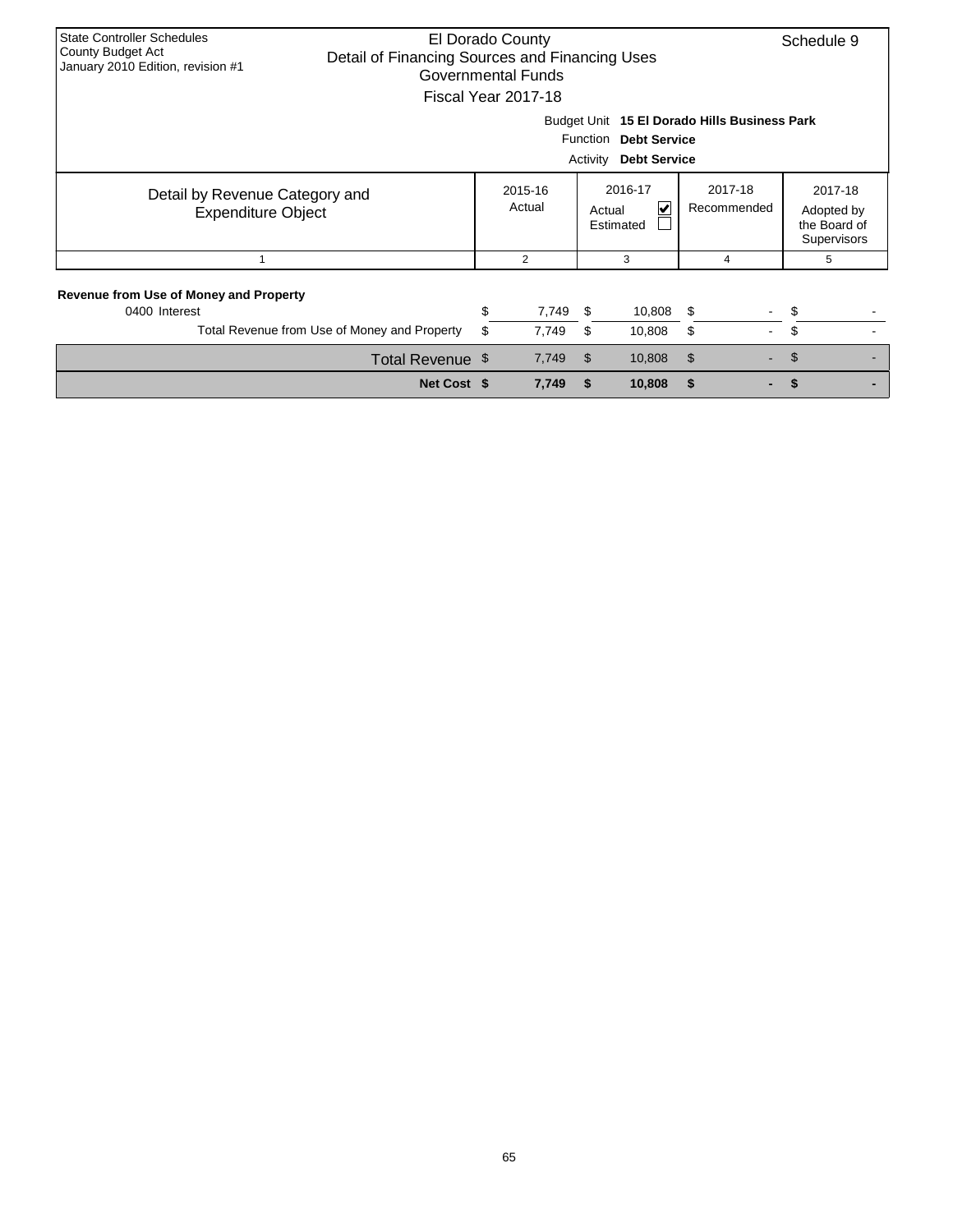| <b>State Controller Schedules</b><br>County Budget Act<br>January 2010 Edition, revision #1                        | El Dorado County<br>Detail of Financing Sources and Financing Uses<br>Governmental Funds<br>Fiscal Year 2017-18 |                   |          |                                                        |                                  |                                                             |  |  |  |  |
|--------------------------------------------------------------------------------------------------------------------|-----------------------------------------------------------------------------------------------------------------|-------------------|----------|--------------------------------------------------------|----------------------------------|-------------------------------------------------------------|--|--|--|--|
| Budget Unit 15 El Dorado Hills Business Park<br>Function<br><b>Debt Service</b><br>Activity<br><b>Debt Service</b> |                                                                                                                 |                   |          |                                                        |                                  |                                                             |  |  |  |  |
| Detail by Revenue Category and<br><b>Expenditure Object</b>                                                        |                                                                                                                 | 2015-16<br>Actual |          | 2016-17<br>$\blacktriangledown$<br>Actual<br>Estimated | 2017-18<br>Recommended           | 2017-18<br>Adopted by<br>the Board of<br><b>Supervisors</b> |  |  |  |  |
|                                                                                                                    |                                                                                                                 | 2                 |          | 3                                                      | 4                                | 5                                                           |  |  |  |  |
| <b>Revenue from Use of Money and Property</b><br>0400 Interest<br>Total Revenue from Use of Money and Property     | \$<br>\$                                                                                                        | 7,749<br>7,749    | \$<br>\$ | 10,808<br>10,808                                       | \$<br>۰.<br>\$<br>$\blacksquare$ | S<br>\$.                                                    |  |  |  |  |
| Total Revenue \$                                                                                                   |                                                                                                                 | 7,749             | \$       | 10,808                                                 | $\mathfrak{S}$                   | \$                                                          |  |  |  |  |
| Net Cost \$                                                                                                        |                                                                                                                 | 7,749             | S        | 10,808                                                 | S                                |                                                             |  |  |  |  |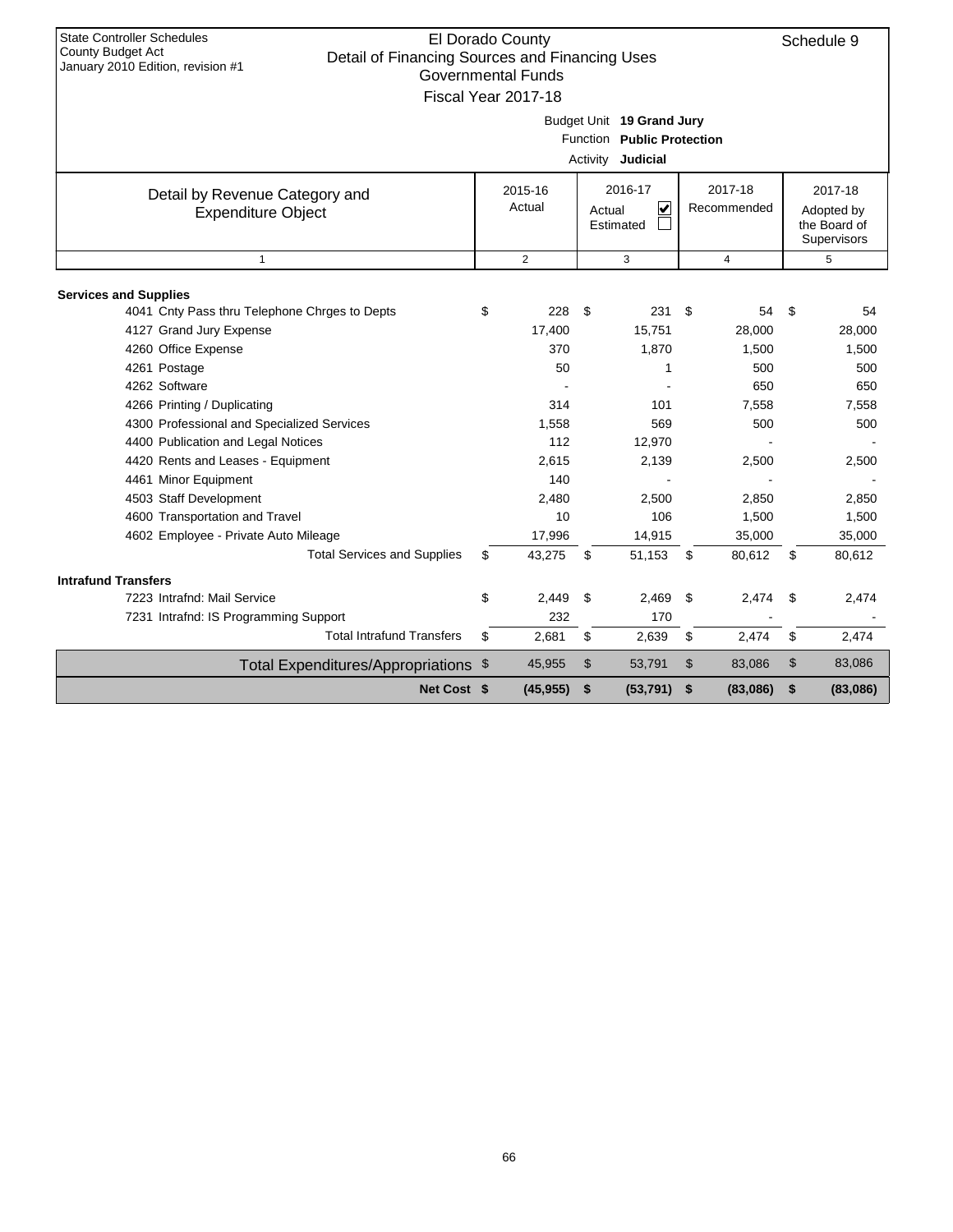| <b>State Controller Schedules</b>                                                   |                           |                |                            |      |                |                |
|-------------------------------------------------------------------------------------|---------------------------|----------------|----------------------------|------|----------------|----------------|
| <b>County Budget Act</b>                                                            | El Dorado County          |                |                            |      |                | Schedule 9     |
| Detail of Financing Sources and Financing Uses<br>January 2010 Edition, revision #1 | <b>Governmental Funds</b> |                |                            |      |                |                |
|                                                                                     | Fiscal Year 2017-18       |                |                            |      |                |                |
|                                                                                     |                           |                |                            |      |                |                |
|                                                                                     |                           |                | Budget Unit 19 Grand Jury  |      |                |                |
|                                                                                     |                           |                | Function Public Protection |      |                |                |
|                                                                                     |                           |                | Activity Judicial          |      |                |                |
| Detail by Revenue Category and                                                      | 2015-16                   |                | 2016-17                    |      | 2017-18        | 2017-18        |
| <b>Expenditure Object</b>                                                           | Actual                    |                | ⊽<br>Actual                |      | Recommended    | Adopted by     |
|                                                                                     |                           |                | Estimated                  |      |                | the Board of   |
| $\mathbf{1}$                                                                        | 2                         |                |                            |      |                | Supervisors    |
|                                                                                     |                           |                | 3                          |      | $\overline{4}$ | 5              |
| <b>Services and Supplies</b>                                                        |                           |                |                            |      |                |                |
| 4041 Cnty Pass thru Telephone Chrges to Depts                                       | \$<br>228                 | \$             | 231                        | - \$ | 54             | \$<br>54       |
| 4127 Grand Jury Expense                                                             | 17,400                    |                | 15,751                     |      | 28,000         | 28,000         |
| 4260 Office Expense                                                                 | 370                       |                | 1,870                      |      | 1,500          | 1,500          |
| 4261 Postage                                                                        | 50                        |                | 1                          |      | 500            | 500            |
| 4262 Software                                                                       |                           |                |                            |      | 650            | 650            |
| 4266 Printing / Duplicating                                                         | 314                       |                | 101                        |      | 7,558          | 7,558          |
| 4300 Professional and Specialized Services                                          | 1.558                     |                | 569                        |      | 500            | 500            |
| 4400 Publication and Legal Notices                                                  | 112                       |                | 12,970                     |      |                |                |
| 4420 Rents and Leases - Equipment                                                   | 2.615                     |                | 2.139                      |      | 2.500          | 2,500          |
| 4461 Minor Equipment                                                                | 140                       |                |                            |      |                |                |
| 4503 Staff Development                                                              | 2.480                     |                | 2.500                      |      | 2,850          | 2,850          |
| 4600 Transportation and Travel                                                      | 10                        |                | 106                        |      | 1,500          | 1,500          |
| 4602 Employee - Private Auto Mileage                                                | 17,996                    |                | 14,915                     |      | 35,000         | 35,000         |
| <b>Total Services and Supplies</b>                                                  | \$<br>43,275              | \$             | 51,153                     | \$   | 80,612         | \$<br>80,612   |
| <b>Intrafund Transfers</b>                                                          |                           |                |                            |      |                |                |
| 7223 Intrafnd: Mail Service                                                         | \$<br>2.449               | \$             | 2.469                      | \$   | 2,474          | \$<br>2,474    |
| 7231 Intrafnd: IS Programming Support                                               | 232                       |                | 170                        |      |                |                |
| <b>Total Intrafund Transfers</b>                                                    | \$<br>2,681               | \$             | 2,639                      | \$   | 2,474          | \$<br>2,474    |
| Total Expenditures/Appropriations \$                                                | 45,955                    | $\mathfrak{S}$ | 53,791                     | \$   | 83,086         | \$<br>83,086   |
| Net Cost \$                                                                         | (45, 955)                 | \$             | (53, 791)                  | \$   | (83,086)       | \$<br>(83,086) |